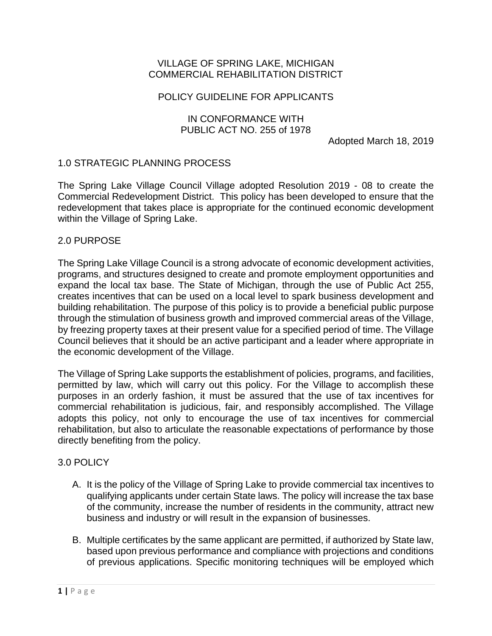### VILLAGE OF SPRING LAKE, MICHIGAN COMMERCIAL REHABILITATION DISTRICT

## POLICY GUIDELINE FOR APPLICANTS

## IN CONFORMANCE WITH PUBLIC ACT NO. 255 of 1978

Adopted March 18, 2019

## 1.0 STRATEGIC PLANNING PROCESS

The Spring Lake Village Council Village adopted Resolution 2019 - 08 to create the Commercial Redevelopment District. This policy has been developed to ensure that the redevelopment that takes place is appropriate for the continued economic development within the Village of Spring Lake.

#### 2.0 PURPOSE

The Spring Lake Village Council is a strong advocate of economic development activities, programs, and structures designed to create and promote employment opportunities and expand the local tax base. The State of Michigan, through the use of Public Act 255, creates incentives that can be used on a local level to spark business development and building rehabilitation. The purpose of this policy is to provide a beneficial public purpose through the stimulation of business growth and improved commercial areas of the Village, by freezing property taxes at their present value for a specified period of time. The Village Council believes that it should be an active participant and a leader where appropriate in the economic development of the Village.

The Village of Spring Lake supports the establishment of policies, programs, and facilities, permitted by law, which will carry out this policy. For the Village to accomplish these purposes in an orderly fashion, it must be assured that the use of tax incentives for commercial rehabilitation is judicious, fair, and responsibly accomplished. The Village adopts this policy, not only to encourage the use of tax incentives for commercial rehabilitation, but also to articulate the reasonable expectations of performance by those directly benefiting from the policy.

## 3.0 POLICY

- A. It is the policy of the Village of Spring Lake to provide commercial tax incentives to qualifying applicants under certain State laws. The policy will increase the tax base of the community, increase the number of residents in the community, attract new business and industry or will result in the expansion of businesses.
- B. Multiple certificates by the same applicant are permitted, if authorized by State law, based upon previous performance and compliance with projections and conditions of previous applications. Specific monitoring techniques will be employed which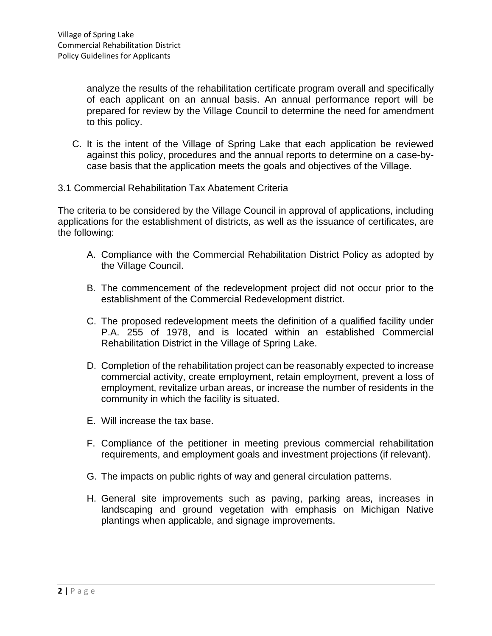analyze the results of the rehabilitation certificate program overall and specifically of each applicant on an annual basis. An annual performance report will be prepared for review by the Village Council to determine the need for amendment to this policy.

- C. It is the intent of the Village of Spring Lake that each application be reviewed against this policy, procedures and the annual reports to determine on a case-bycase basis that the application meets the goals and objectives of the Village.
- 3.1 Commercial Rehabilitation Tax Abatement Criteria

The criteria to be considered by the Village Council in approval of applications, including applications for the establishment of districts, as well as the issuance of certificates, are the following:

- A. Compliance with the Commercial Rehabilitation District Policy as adopted by the Village Council.
- B. The commencement of the redevelopment project did not occur prior to the establishment of the Commercial Redevelopment district.
- C. The proposed redevelopment meets the definition of a qualified facility under P.A. 255 of 1978, and is located within an established Commercial Rehabilitation District in the Village of Spring Lake.
- D. Completion of the rehabilitation project can be reasonably expected to increase commercial activity, create employment, retain employment, prevent a loss of employment, revitalize urban areas, or increase the number of residents in the community in which the facility is situated.
- E. Will increase the tax base.
- F. Compliance of the petitioner in meeting previous commercial rehabilitation requirements, and employment goals and investment projections (if relevant).
- G. The impacts on public rights of way and general circulation patterns.
- H. General site improvements such as paving, parking areas, increases in landscaping and ground vegetation with emphasis on Michigan Native plantings when applicable, and signage improvements.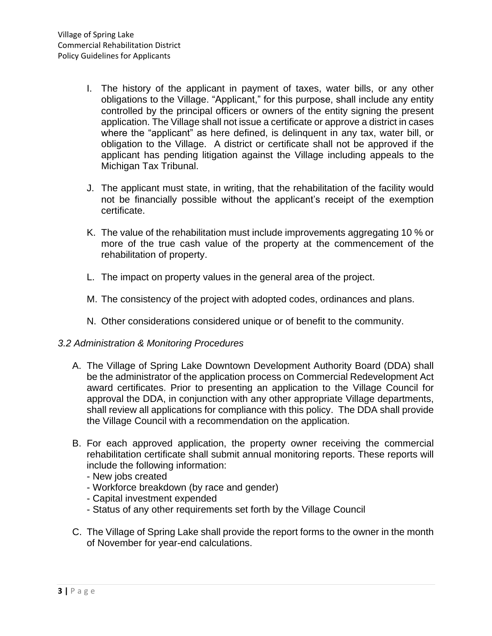- I. The history of the applicant in payment of taxes, water bills, or any other obligations to the Village. "Applicant," for this purpose, shall include any entity controlled by the principal officers or owners of the entity signing the present application. The Village shall not issue a certificate or approve a district in cases where the "applicant" as here defined, is delinquent in any tax, water bill, or obligation to the Village. A district or certificate shall not be approved if the applicant has pending litigation against the Village including appeals to the Michigan Tax Tribunal.
- J. The applicant must state, in writing, that the rehabilitation of the facility would not be financially possible without the applicant's receipt of the exemption certificate.
- K. The value of the rehabilitation must include improvements aggregating 10 % or more of the true cash value of the property at the commencement of the rehabilitation of property.
- L. The impact on property values in the general area of the project.
- M. The consistency of the project with adopted codes, ordinances and plans.
- N. Other considerations considered unique or of benefit to the community.

## *3.2 Administration & Monitoring Procedures*

- A. The Village of Spring Lake Downtown Development Authority Board (DDA) shall be the administrator of the application process on Commercial Redevelopment Act award certificates. Prior to presenting an application to the Village Council for approval the DDA, in conjunction with any other appropriate Village departments, shall review all applications for compliance with this policy. The DDA shall provide the Village Council with a recommendation on the application.
- B. For each approved application, the property owner receiving the commercial rehabilitation certificate shall submit annual monitoring reports. These reports will include the following information:
	- New jobs created
	- Workforce breakdown (by race and gender)
	- Capital investment expended
	- Status of any other requirements set forth by the Village Council
- C. The Village of Spring Lake shall provide the report forms to the owner in the month of November for year-end calculations.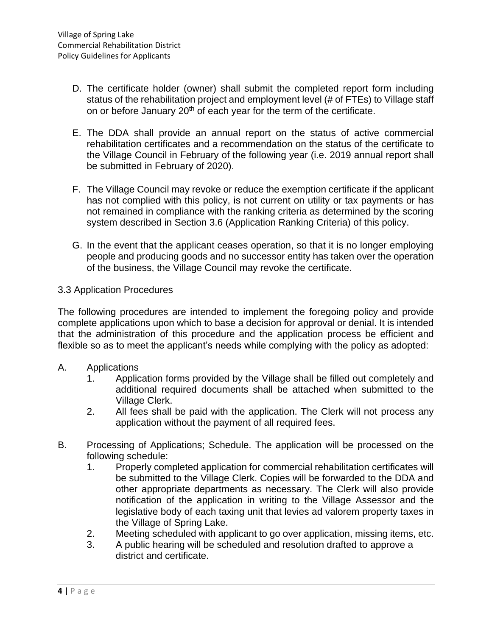- D. The certificate holder (owner) shall submit the completed report form including status of the rehabilitation project and employment level (# of FTEs) to Village staff on or before January 20<sup>th</sup> of each year for the term of the certificate.
- E. The DDA shall provide an annual report on the status of active commercial rehabilitation certificates and a recommendation on the status of the certificate to the Village Council in February of the following year (i.e. 2019 annual report shall be submitted in February of 2020).
- F. The Village Council may revoke or reduce the exemption certificate if the applicant has not complied with this policy, is not current on utility or tax payments or has not remained in compliance with the ranking criteria as determined by the scoring system described in Section 3.6 (Application Ranking Criteria) of this policy.
- G. In the event that the applicant ceases operation, so that it is no longer employing people and producing goods and no successor entity has taken over the operation of the business, the Village Council may revoke the certificate.

#### 3.3 Application Procedures

The following procedures are intended to implement the foregoing policy and provide complete applications upon which to base a decision for approval or denial. It is intended that the administration of this procedure and the application process be efficient and flexible so as to meet the applicant's needs while complying with the policy as adopted:

- A. Applications
	- 1. Application forms provided by the Village shall be filled out completely and additional required documents shall be attached when submitted to the Village Clerk.
	- 2. All fees shall be paid with the application. The Clerk will not process any application without the payment of all required fees.
- B. Processing of Applications; Schedule. The application will be processed on the following schedule:
	- 1. Properly completed application for commercial rehabilitation certificates will be submitted to the Village Clerk. Copies will be forwarded to the DDA and other appropriate departments as necessary. The Clerk will also provide notification of the application in writing to the Village Assessor and the legislative body of each taxing unit that levies ad valorem property taxes in the Village of Spring Lake.
	- 2. Meeting scheduled with applicant to go over application, missing items, etc.
	- 3. A public hearing will be scheduled and resolution drafted to approve a district and certificate.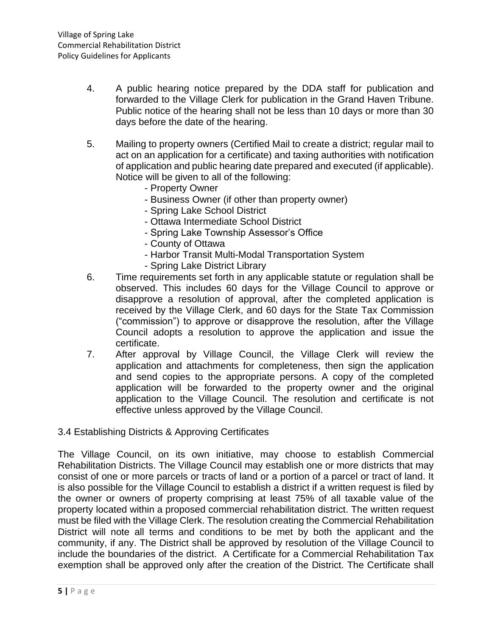- 4. A public hearing notice prepared by the DDA staff for publication and forwarded to the Village Clerk for publication in the Grand Haven Tribune. Public notice of the hearing shall not be less than 10 days or more than 30 days before the date of the hearing.
- 5. Mailing to property owners (Certified Mail to create a district; regular mail to act on an application for a certificate) and taxing authorities with notification of application and public hearing date prepared and executed (if applicable). Notice will be given to all of the following:
	- Property Owner
	- Business Owner (if other than property owner)
	- Spring Lake School District
	- Ottawa Intermediate School District
	- Spring Lake Township Assessor's Office
	- County of Ottawa
	- Harbor Transit Multi-Modal Transportation System
	- Spring Lake District Library
- 6. Time requirements set forth in any applicable statute or regulation shall be observed. This includes 60 days for the Village Council to approve or disapprove a resolution of approval, after the completed application is received by the Village Clerk, and 60 days for the State Tax Commission ("commission") to approve or disapprove the resolution, after the Village Council adopts a resolution to approve the application and issue the certificate.
- 7. After approval by Village Council, the Village Clerk will review the application and attachments for completeness, then sign the application and send copies to the appropriate persons. A copy of the completed application will be forwarded to the property owner and the original application to the Village Council. The resolution and certificate is not effective unless approved by the Village Council.

## 3.4 Establishing Districts & Approving Certificates

The Village Council, on its own initiative, may choose to establish Commercial Rehabilitation Districts. The Village Council may establish one or more districts that may consist of one or more parcels or tracts of land or a portion of a parcel or tract of land. It is also possible for the Village Council to establish a district if a written request is filed by the owner or owners of property comprising at least 75% of all taxable value of the property located within a proposed commercial rehabilitation district. The written request must be filed with the Village Clerk. The resolution creating the Commercial Rehabilitation District will note all terms and conditions to be met by both the applicant and the community, if any. The District shall be approved by resolution of the Village Council to include the boundaries of the district. A Certificate for a Commercial Rehabilitation Tax exemption shall be approved only after the creation of the District. The Certificate shall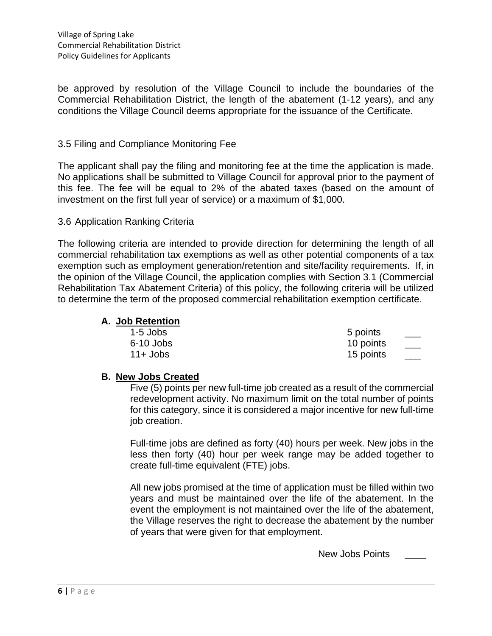be approved by resolution of the Village Council to include the boundaries of the Commercial Rehabilitation District, the length of the abatement (1-12 years), and any conditions the Village Council deems appropriate for the issuance of the Certificate.

#### 3.5 Filing and Compliance Monitoring Fee

The applicant shall pay the filing and monitoring fee at the time the application is made. No applications shall be submitted to Village Council for approval prior to the payment of this fee. The fee will be equal to 2% of the abated taxes (based on the amount of investment on the first full year of service) or a maximum of \$1,000.

#### 3.6 Application Ranking Criteria

The following criteria are intended to provide direction for determining the length of all commercial rehabilitation tax exemptions as well as other potential components of a tax exemption such as employment generation/retention and site/facility requirements. If, in the opinion of the Village Council, the application complies with Section 3.1 (Commercial Rehabilitation Tax Abatement Criteria) of this policy, the following criteria will be utilized to determine the term of the proposed commercial rehabilitation exemption certificate.

## **A. Job Retention**

| $1-5$ Jobs  | 5 points  |  |
|-------------|-----------|--|
| 6-10 Jobs   | 10 points |  |
| $11 +$ Jobs | 15 points |  |

#### **B. New Jobs Created**

Five (5) points per new full-time job created as a result of the commercial redevelopment activity. No maximum limit on the total number of points for this category, since it is considered a major incentive for new full-time job creation.

Full-time jobs are defined as forty (40) hours per week. New jobs in the less then forty (40) hour per week range may be added together to create full-time equivalent (FTE) jobs.

All new jobs promised at the time of application must be filled within two years and must be maintained over the life of the abatement. In the event the employment is not maintained over the life of the abatement, the Village reserves the right to decrease the abatement by the number of years that were given for that employment.

New Jobs Points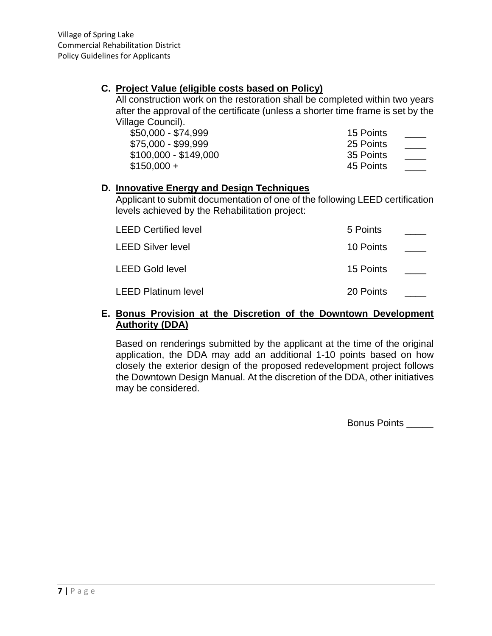## **C. Project Value (eligible costs based on Policy)**

All construction work on the restoration shall be completed within two years after the approval of the certificate (unless a shorter time frame is set by the Village Council).

| \$50,000 - \$74,999   | 15 Points |  |
|-----------------------|-----------|--|
| \$75,000 - \$99,999   | 25 Points |  |
| \$100,000 - \$149,000 | 35 Points |  |
| \$150,000 +           | 45 Points |  |

## **D. Innovative Energy and Design Techniques**

Applicant to submit documentation of one of the following LEED certification levels achieved by the Rehabilitation project:

| <b>LEED Certified level</b> | 5 Points  |  |
|-----------------------------|-----------|--|
| <b>LEED Silver level</b>    | 10 Points |  |
| LEED Gold level             | 15 Points |  |
| <b>LEED Platinum level</b>  | 20 Points |  |

## **E. Bonus Provision at the Discretion of the Downtown Development Authority (DDA)**

Based on renderings submitted by the applicant at the time of the original application, the DDA may add an additional 1-10 points based on how closely the exterior design of the proposed redevelopment project follows the Downtown Design Manual. At the discretion of the DDA, other initiatives may be considered.

Bonus Points \_\_\_\_\_